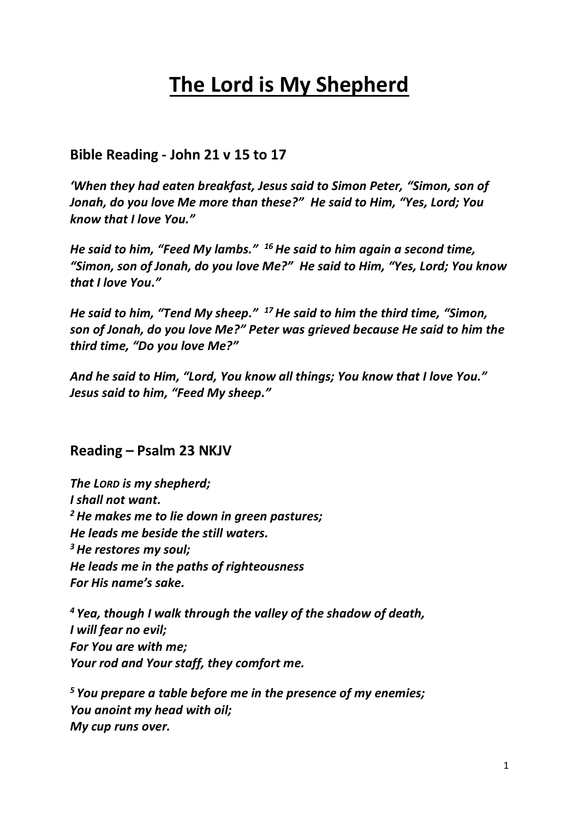# **The Lord is My Shepherd**

## **Bible Reading - John 21 v 15 to 17**

*'When they had eaten breakfast, Jesus said to Simon Peter, "Simon, son of Jonah, do you love Me more than these?" He said to Him, "Yes, Lord; You know that I love You."*

*He said to him, "Feed My lambs." <sup>16</sup>He said to him again a second time, "Simon, son of Jonah, do you love Me?" He said to Him, "Yes, Lord; You know that I love You."*

*He said to him, "Tend My sheep." <sup>17</sup>He said to him the third time, "Simon, son of Jonah, do you love Me?" Peter was grieved because He said to him the third time, "Do you love Me?"*

*And he said to Him, "Lord, You know all things; You know that I love You." Jesus said to him, "Feed My sheep."*

### **Reading – Psalm 23 NKJV**

*The LORD is my shepherd; I shall not want. <sup>2</sup>He makes me to lie down in green pastures; He leads me beside the still waters. <sup>3</sup>He restores my soul; He leads me in the paths of righteousness For His name's sake.*

*<sup>4</sup> Yea, though I walk through the valley of the shadow of death, I will fear no evil; For You are with me; Your rod and Your staff, they comfort me.*

*<sup>5</sup> You prepare a table before me in the presence of my enemies; You anoint my head with oil; My cup runs over.*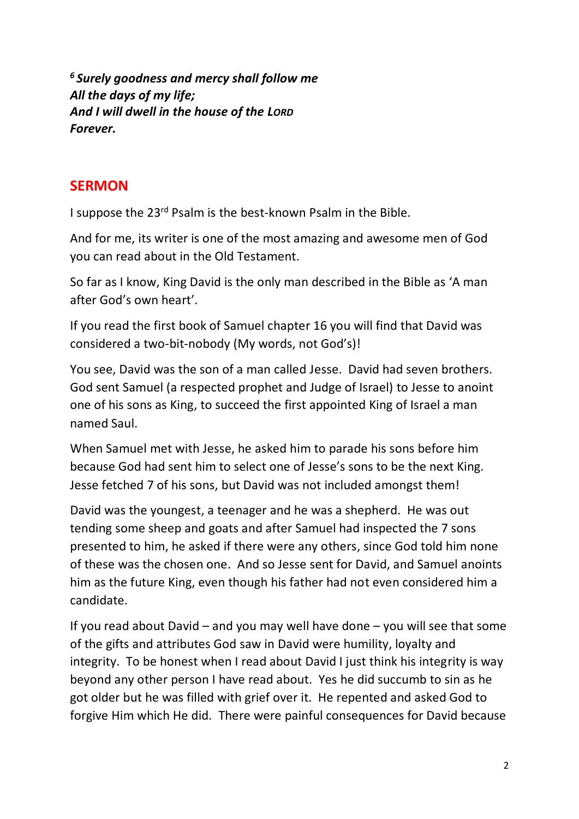*<sup>6</sup> Surely goodness and mercy shall follow me All the days of my life; And I will dwell in the house of the LORD Forever.*

## **SERMON**

I suppose the 23rd Psalm is the best-known Psalm in the Bible.

And for me, its writer is one of the most amazing and awesome men of God you can read about in the Old Testament.

So far as I know, King David is the only man described in the Bible as 'A man after God's own heart'.

If you read the first book of Samuel chapter 16 you will find that David was considered a two-bit-nobody (My words, not God's)!

You see, David was the son of a man called Jesse. David had seven brothers. God sent Samuel (a respected prophet and Judge of Israel) to Jesse to anoint one of his sons as King, to succeed the first appointed King of Israel a man named Saul.

When Samuel met with Jesse, he asked him to parade his sons before him because God had sent him to select one of Jesse's sons to be the next King. Jesse fetched 7 of his sons, but David was not included amongst them!

David was the youngest, a teenager and he was a shepherd. He was out tending some sheep and goats and after Samuel had inspected the 7 sons presented to him, he asked if there were any others, since God told him none of these was the chosen one. And so Jesse sent for David, and Samuel anoints him as the future King, even though his father had not even considered him a candidate.

If you read about David – and you may well have done – you will see that some of the gifts and attributes God saw in David were humility, loyalty and integrity. To be honest when I read about David I just think his integrity is way beyond any other person I have read about. Yes he did succumb to sin as he got older but he was filled with grief over it. He repented and asked God to forgive Him which He did. There were painful consequences for David because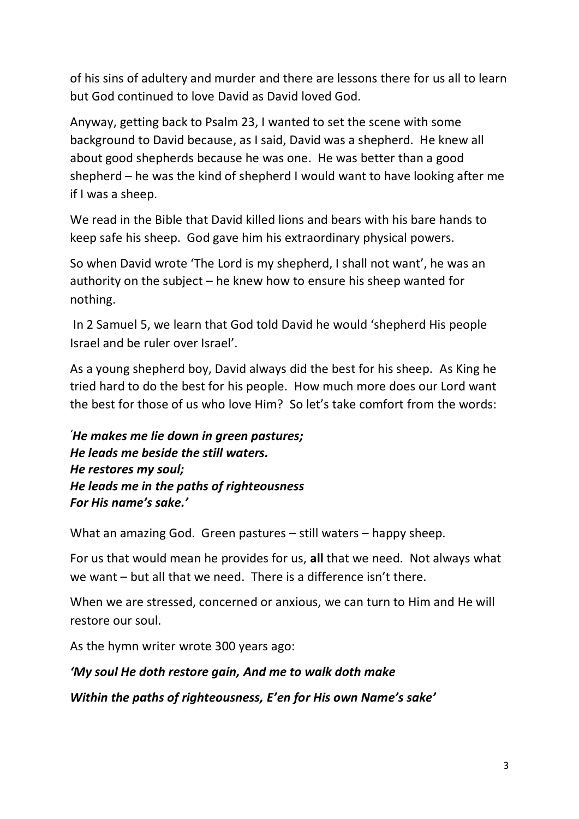of his sins of adultery and murder and there are lessons there for us all to learn but God continued to love David as David loved God.

Anyway, getting back to Psalm 23, I wanted to set the scene with some background to David because, as I said, David was a shepherd. He knew all about good shepherds because he was one. He was better than a good shepherd – he was the kind of shepherd I would want to have looking after me if I was a sheep.

We read in the Bible that David killed lions and bears with his bare hands to keep safe his sheep. God gave him his extraordinary physical powers.

So when David wrote 'The Lord is my shepherd, I shall not want', he was an authority on the subject – he knew how to ensure his sheep wanted for nothing.

In 2 Samuel 5, we learn that God told David he would 'shepherd His people Israel and be ruler over Israel'.

As a young shepherd boy, David always did the best for his sheep. As King he tried hard to do the best for his people. How much more does our Lord want the best for those of us who love Him? So let's take comfort from the words:

*'He makes me lie down in green pastures; He leads me beside the still waters. He restores my soul; He leads me in the paths of righteousness For His name's sake.'*

What an amazing God. Green pastures – still waters – happy sheep.

For us that would mean he provides for us, **all** that we need. Not always what we want – but all that we need. There is a difference isn't there.

When we are stressed, concerned or anxious, we can turn to Him and He will restore our soul.

As the hymn writer wrote 300 years ago:

## *'My soul He doth restore gain, And me to walk doth make*

*Within the paths of righteousness, E'en for His own Name's sake'*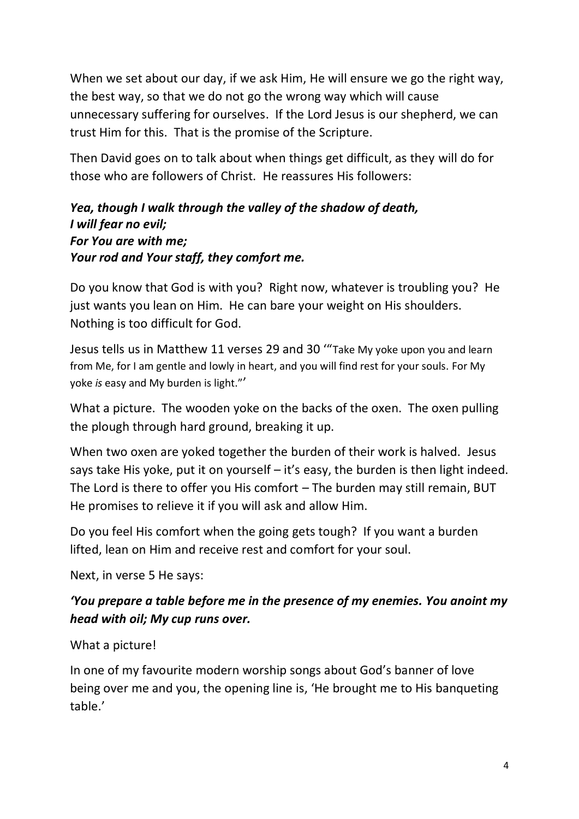When we set about our day, if we ask Him, He will ensure we go the right way, the best way, so that we do not go the wrong way which will cause unnecessary suffering for ourselves. If the Lord Jesus is our shepherd, we can trust Him for this. That is the promise of the Scripture.

Then David goes on to talk about when things get difficult, as they will do for those who are followers of Christ. He reassures His followers:

## *Yea, though I walk through the valley of the shadow of death, I will fear no evil; For You are with me; Your rod and Your staff, they comfort me.*

Do you know that God is with you? Right now, whatever is troubling you? He just wants you lean on Him. He can bare your weight on His shoulders. Nothing is too difficult for God.

Jesus tells us in Matthew 11 verses 29 and 30 '"Take My yoke upon you and learn from Me, for I am gentle and lowly in heart, and you will find rest for your souls. For My yoke *is* easy and My burden is light."'

What a picture. The wooden yoke on the backs of the oxen. The oxen pulling the plough through hard ground, breaking it up.

When two oxen are yoked together the burden of their work is halved. Jesus says take His yoke, put it on yourself – it's easy, the burden is then light indeed. The Lord is there to offer you His comfort – The burden may still remain, BUT He promises to relieve it if you will ask and allow Him.

Do you feel His comfort when the going gets tough? If you want a burden lifted, lean on Him and receive rest and comfort for your soul.

Next, in verse 5 He says:

## *'You prepare a table before me in the presence of my enemies. You anoint my head with oil; My cup runs over.*

### What a picture!

In one of my favourite modern worship songs about God's banner of love being over me and you, the opening line is, 'He brought me to His banqueting table.'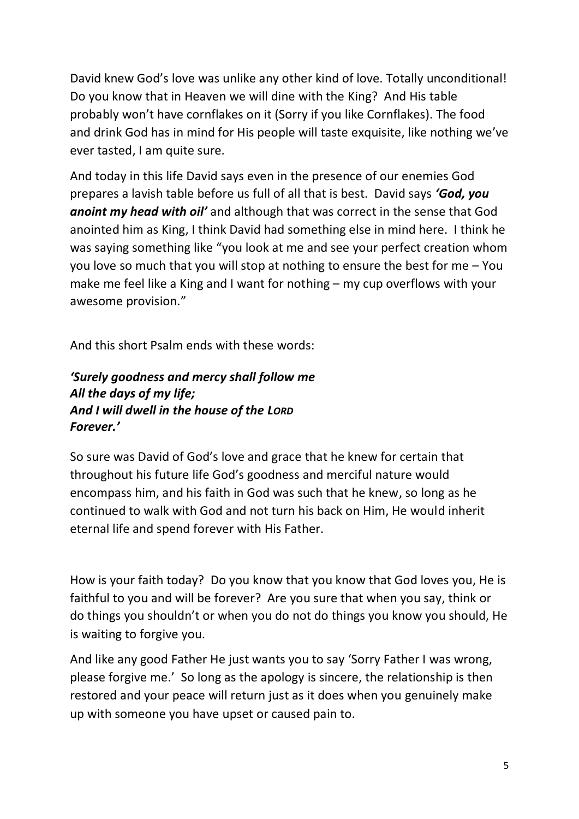David knew God's love was unlike any other kind of love. Totally unconditional! Do you know that in Heaven we will dine with the King? And His table probably won't have cornflakes on it (Sorry if you like Cornflakes). The food and drink God has in mind for His people will taste exquisite, like nothing we've ever tasted, I am quite sure.

And today in this life David says even in the presence of our enemies God prepares a lavish table before us full of all that is best. David says *'God, you anoint my head with oil'* and although that was correct in the sense that God anointed him as King, I think David had something else in mind here. I think he was saying something like "you look at me and see your perfect creation whom you love so much that you will stop at nothing to ensure the best for me – You make me feel like a King and I want for nothing – my cup overflows with your awesome provision."

And this short Psalm ends with these words:

## *'Surely goodness and mercy shall follow me All the days of my life; And I will dwell in the house of the LORD Forever.'*

So sure was David of God's love and grace that he knew for certain that throughout his future life God's goodness and merciful nature would encompass him, and his faith in God was such that he knew, so long as he continued to walk with God and not turn his back on Him, He would inherit eternal life and spend forever with His Father.

How is your faith today? Do you know that you know that God loves you, He is faithful to you and will be forever? Are you sure that when you say, think or do things you shouldn't or when you do not do things you know you should, He is waiting to forgive you.

And like any good Father He just wants you to say 'Sorry Father I was wrong, please forgive me.' So long as the apology is sincere, the relationship is then restored and your peace will return just as it does when you genuinely make up with someone you have upset or caused pain to.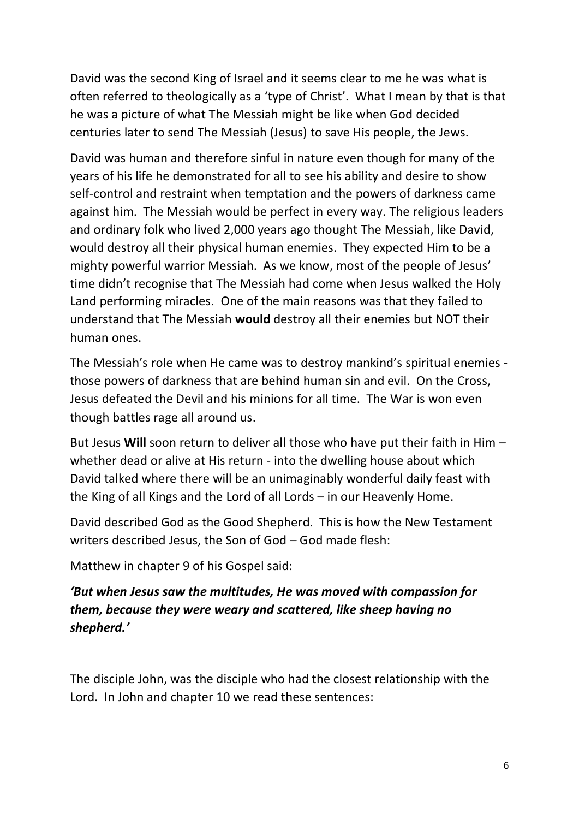David was the second King of Israel and it seems clear to me he was what is often referred to theologically as a 'type of Christ'. What I mean by that is that he was a picture of what The Messiah might be like when God decided centuries later to send The Messiah (Jesus) to save His people, the Jews.

David was human and therefore sinful in nature even though for many of the years of his life he demonstrated for all to see his ability and desire to show self-control and restraint when temptation and the powers of darkness came against him. The Messiah would be perfect in every way. The religious leaders and ordinary folk who lived 2,000 years ago thought The Messiah, like David, would destroy all their physical human enemies. They expected Him to be a mighty powerful warrior Messiah. As we know, most of the people of Jesus' time didn't recognise that The Messiah had come when Jesus walked the Holy Land performing miracles. One of the main reasons was that they failed to understand that The Messiah **would** destroy all their enemies but NOT their human ones.

The Messiah's role when He came was to destroy mankind's spiritual enemies those powers of darkness that are behind human sin and evil. On the Cross, Jesus defeated the Devil and his minions for all time. The War is won even though battles rage all around us.

But Jesus **Will** soon return to deliver all those who have put their faith in Him – whether dead or alive at His return - into the dwelling house about which David talked where there will be an unimaginably wonderful daily feast with the King of all Kings and the Lord of all Lords – in our Heavenly Home.

David described God as the Good Shepherd. This is how the New Testament writers described Jesus, the Son of God – God made flesh:

Matthew in chapter 9 of his Gospel said:

## *'But when Jesus saw the multitudes, He was moved with compassion for them, because they were weary and scattered, like sheep having no shepherd.'*

The disciple John, was the disciple who had the closest relationship with the Lord. In John and chapter 10 we read these sentences: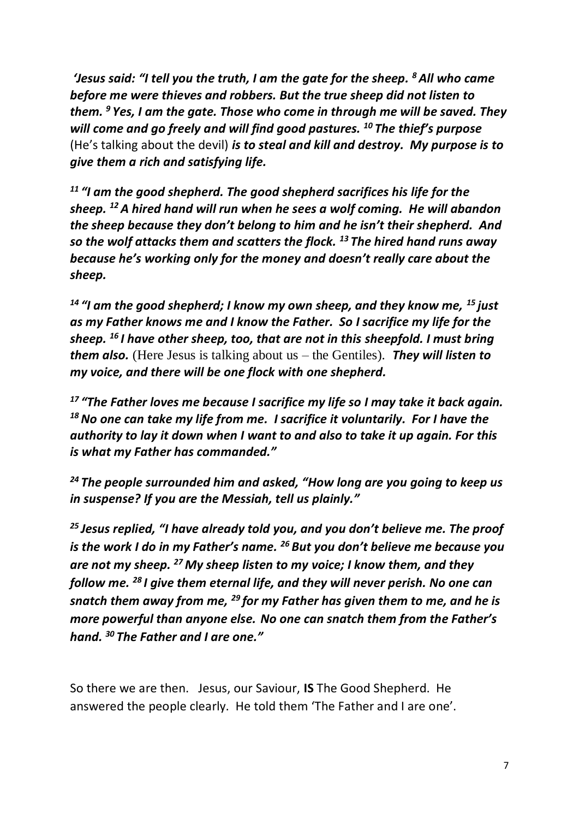*'Jesus said: "I tell you the truth, I am the gate for the sheep. <sup>8</sup>All who came before me were thieves and robbers. But the true sheep did not listen to them. <sup>9</sup> Yes, I am the gate. Those who come in through me will be saved. They will come and go freely and will find good pastures. <sup>10</sup> The thief's purpose* (He's talking about the devil) *is to steal and kill and destroy. My purpose is to give them a rich and satisfying life.*

*<sup>11</sup> "I am the good shepherd. The good shepherd sacrifices his life for the sheep. <sup>12</sup>A hired hand will run when he sees a wolf coming. He will abandon the sheep because they don't belong to him and he isn't their shepherd. And so the wolf attacks them and scatters the flock. <sup>13</sup> The hired hand runs away because he's working only for the money and doesn't really care about the sheep.*

*<sup>14</sup> "I am the good shepherd; I know my own sheep, and they know me, <sup>15</sup> just as my Father knows me and I know the Father. So I sacrifice my life for the sheep. <sup>16</sup> I have other sheep, too, that are not in this sheepfold. I must bring them also.* (Here Jesus is talking about us – the Gentiles). *They will listen to my voice, and there will be one flock with one shepherd.*

*<sup>17</sup> "The Father loves me because I sacrifice my life so I may take it back again. <sup>18</sup>No one can take my life from me. I sacrifice it voluntarily. For I have the authority to lay it down when I want to and also to take it up again. For this is what my Father has commanded."*

*<sup>24</sup> The people surrounded him and asked, "How long are you going to keep us in suspense? If you are the Messiah, tell us plainly."*

*<sup>25</sup> Jesus replied, "I have already told you, and you don't believe me. The proof is the work I do in my Father's name. <sup>26</sup> But you don't believe me because you are not my sheep. <sup>27</sup> My sheep listen to my voice; I know them, and they follow me. <sup>28</sup> I give them eternal life, and they will never perish. No one can snatch them away from me, <sup>29</sup> for my Father has given them to me, and he is more powerful than anyone else. No one can snatch them from the Father's hand. <sup>30</sup> The Father and I are one."*

So there we are then. Jesus, our Saviour, **IS** The Good Shepherd. He answered the people clearly. He told them 'The Father and I are one'.